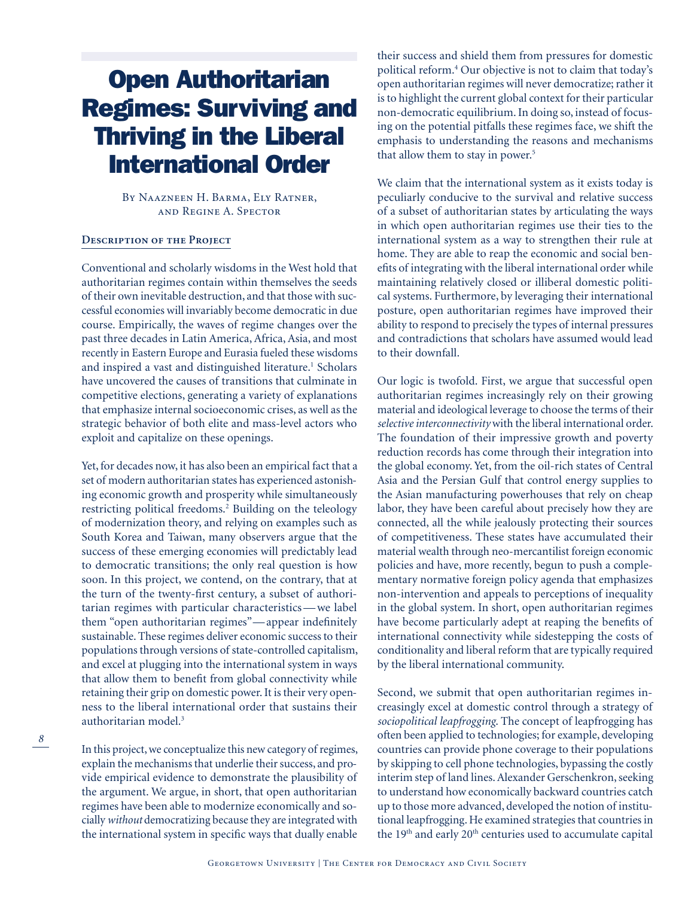# Open Authoritarian Regimes: Surviving and Thriving in the Liberal International Order

By Naazneen H. Barma, Ely Ratner, and Regine A. Spector

# **Description of the Project**

Conventional and scholarly wisdoms in the West hold that authoritarian regimes contain within themselves the seeds of their own inevitable destruction, and that those with successful economies will invariably become democratic in due course. Empirically, the waves of regime changes over the past three decades in Latin America, Africa, Asia, and most recently in Eastern Europe and Eurasia fueled these wisdoms and inspired a vast and distinguished literature.<sup>1</sup> Scholars have uncovered the causes of transitions that culminate in competitive elections, generating a variety of explanations that emphasize internal socioeconomic crises, as well as the strategic behavior of both elite and mass-level actors who exploit and capitalize on these openings.

Yet, for decades now, it has also been an empirical fact that a set of modern authoritarian states has experienced astonishing economic growth and prosperity while simultaneously restricting political freedoms.<sup>2</sup> Building on the teleology of modernization theory, and relying on examples such as South Korea and Taiwan, many observers argue that the success of these emerging economies will predictably lead to democratic transitions; the only real question is how soon. In this project, we contend, on the contrary, that at the turn of the twenty-first century, a subset of authoritarian regimes with particular characteristics—we label them "open authoritarian regimes"—appear indefinitely sustainable. These regimes deliver economic success to their populations through versions of state-controlled capitalism, and excel at plugging into the international system in ways that allow them to benefit from global connectivity while retaining their grip on domestic power. It is their very openness to the liberal international order that sustains their authoritarian model.3

In this project, we conceptualize this new category of regimes, explain the mechanisms that underlie their success, and provide empirical evidence to demonstrate the plausibility of the argument. We argue, in short, that open authoritarian regimes have been able to modernize economically and socially *without* democratizing because they are integrated with the international system in specific ways that dually enable

*8*

their success and shield them from pressures for domestic political reform.4 Our objective is not to claim that today's open authoritarian regimes will never democratize; rather it is to highlight the current global context for their particular non-democratic equilibrium. In doing so, instead of focusing on the potential pitfalls these regimes face, we shift the emphasis to understanding the reasons and mechanisms that allow them to stay in power.<sup>5</sup>

We claim that the international system as it exists today is peculiarly conducive to the survival and relative success of a subset of authoritarian states by articulating the ways in which open authoritarian regimes use their ties to the international system as a way to strengthen their rule at home. They are able to reap the economic and social benefits of integrating with the liberal international order while maintaining relatively closed or illiberal domestic political systems. Furthermore, by leveraging their international posture, open authoritarian regimes have improved their ability to respond to precisely the types of internal pressures and contradictions that scholars have assumed would lead to their downfall.

Our logic is twofold. First, we argue that successful open authoritarian regimes increasingly rely on their growing material and ideological leverage to choose the terms of their *selective interconnectivity* with the liberal international order. The foundation of their impressive growth and poverty reduction records has come through their integration into the global economy. Yet, from the oil-rich states of Central Asia and the Persian Gulf that control energy supplies to the Asian manufacturing powerhouses that rely on cheap labor, they have been careful about precisely how they are connected, all the while jealously protecting their sources of competitiveness. These states have accumulated their material wealth through neo-mercantilist foreign economic policies and have, more recently, begun to push a complementary normative foreign policy agenda that emphasizes non-intervention and appeals to perceptions of inequality in the global system. In short, open authoritarian regimes have become particularly adept at reaping the benefits of international connectivity while sidestepping the costs of conditionality and liberal reform that are typically required by the liberal international community.

Second, we submit that open authoritarian regimes increasingly excel at domestic control through a strategy of *sociopolitical leapfrogging*. The concept of leapfrogging has often been applied to technologies; for example, developing countries can provide phone coverage to their populations by skipping to cell phone technologies, bypassing the costly interim step of land lines. Alexander Gerschenkron, seeking to understand how economically backward countries catch up to those more advanced, developed the notion of institutional leapfrogging. He examined strategies that countries in the 19<sup>th</sup> and early 20<sup>th</sup> centuries used to accumulate capital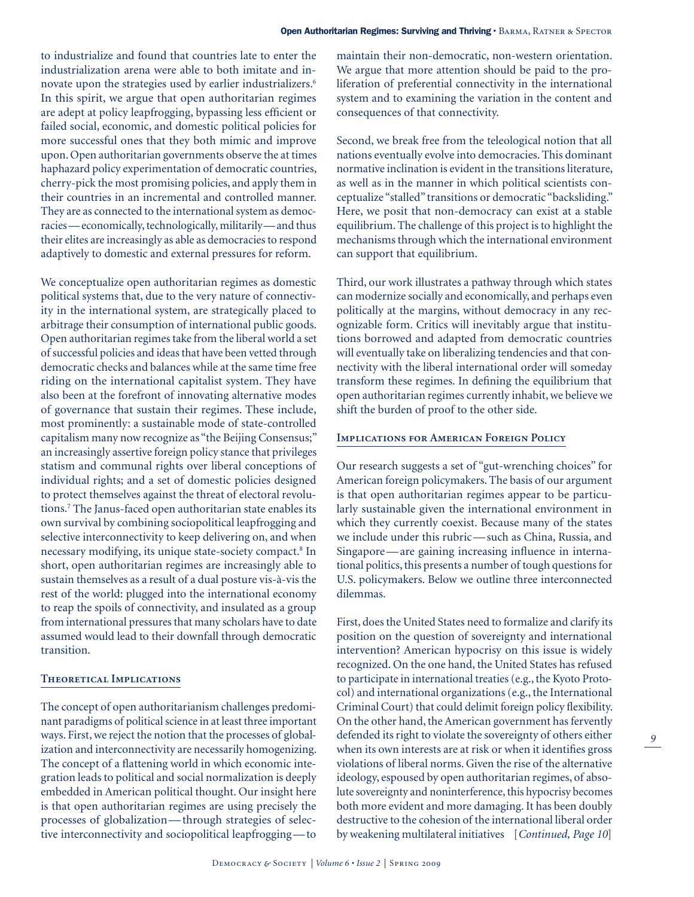to industrialize and found that countries late to enter the industrialization arena were able to both imitate and innovate upon the strategies used by earlier industrializers.<sup>6</sup> In this spirit, we argue that open authoritarian regimes are adept at policy leapfrogging, bypassing less efficient or failed social, economic, and domestic political policies for more successful ones that they both mimic and improve upon. Open authoritarian governments observe the at times haphazard policy experimentation of democratic countries, cherry-pick the most promising policies, and apply them in their countries in an incremental and controlled manner. They are as connected to the international system as democracies—economically, technologically, militarily—and thus their elites are increasingly as able as democracies to respond adaptively to domestic and external pressures for reform.

We conceptualize open authoritarian regimes as domestic political systems that, due to the very nature of connectivity in the international system, are strategically placed to arbitrage their consumption of international public goods. Open authoritarian regimes take from the liberal world a set of successful policies and ideas that have been vetted through democratic checks and balances while at the same time free riding on the international capitalist system. They have also been at the forefront of innovating alternative modes of governance that sustain their regimes. These include, most prominently: a sustainable mode of state-controlled capitalism many now recognize as "the Beijing Consensus;" an increasingly assertive foreign policy stance that privileges statism and communal rights over liberal conceptions of individual rights; and a set of domestic policies designed to protect themselves against the threat of electoral revolutions.7 The Janus-faced open authoritarian state enables its own survival by combining sociopolitical leapfrogging and selective interconnectivity to keep delivering on, and when necessary modifying, its unique state-society compact.<sup>8</sup> In short, open authoritarian regimes are increasingly able to sustain themselves as a result of a dual posture vis-à-vis the rest of the world: plugged into the international economy to reap the spoils of connectivity, and insulated as a group from international pressures that many scholars have to date assumed would lead to their downfall through democratic transition.

# **Theoretical Implications**

The concept of open authoritarianism challenges predominant paradigms of political science in at least three important ways. First, we reject the notion that the processes of globalization and interconnectivity are necessarily homogenizing. The concept of a flattening world in which economic integration leads to political and social normalization is deeply embedded in American political thought. Our insight here is that open authoritarian regimes are using precisely the processes of globalization—through strategies of selective interconnectivity and sociopolitical leapfrogging—to

maintain their non-democratic, non-western orientation. We argue that more attention should be paid to the proliferation of preferential connectivity in the international system and to examining the variation in the content and consequences of that connectivity.

Second, we break free from the teleological notion that all nations eventually evolve into democracies. This dominant normative inclination is evident in the transitions literature, as well as in the manner in which political scientists conceptualize "stalled" transitions or democratic "backsliding." Here, we posit that non-democracy can exist at a stable equilibrium. The challenge of this project is to highlight the mechanisms through which the international environment can support that equilibrium.

Third, our work illustrates a pathway through which states can modernize socially and economically, and perhaps even politically at the margins, without democracy in any recognizable form. Critics will inevitably argue that institutions borrowed and adapted from democratic countries will eventually take on liberalizing tendencies and that connectivity with the liberal international order will someday transform these regimes. In defining the equilibrium that open authoritarian regimes currently inhabit, we believe we shift the burden of proof to the other side.

# **Implications for American Foreign Policy**

Our research suggests a set of "gut-wrenching choices" for American foreign policymakers. The basis of our argument is that open authoritarian regimes appear to be particularly sustainable given the international environment in which they currently coexist. Because many of the states we include under this rubric—such as China, Russia, and Singapore—are gaining increasing influence in international politics, this presents a number of tough questions for U.S. policymakers. Below we outline three interconnected dilemmas.

First, does the United States need to formalize and clarify its position on the question of sovereignty and international intervention? American hypocrisy on this issue is widely recognized. On the one hand, the United States has refused to participate in international treaties (e.g., the Kyoto Protocol) and international organizations (e.g., the International Criminal Court) that could delimit foreign policy flexibility. On the other hand, the American government has fervently defended its right to violate the sovereignty of others either when its own interests are at risk or when it identifies gross violations of liberal norms. Given the rise of the alternative ideology, espoused by open authoritarian regimes, of absolute sovereignty and noninterference, this hypocrisy becomes both more evident and more damaging. It has been doubly destructive to the cohesion of the international liberal order by weakening multilateral initiatives [*Continued, Page 10*]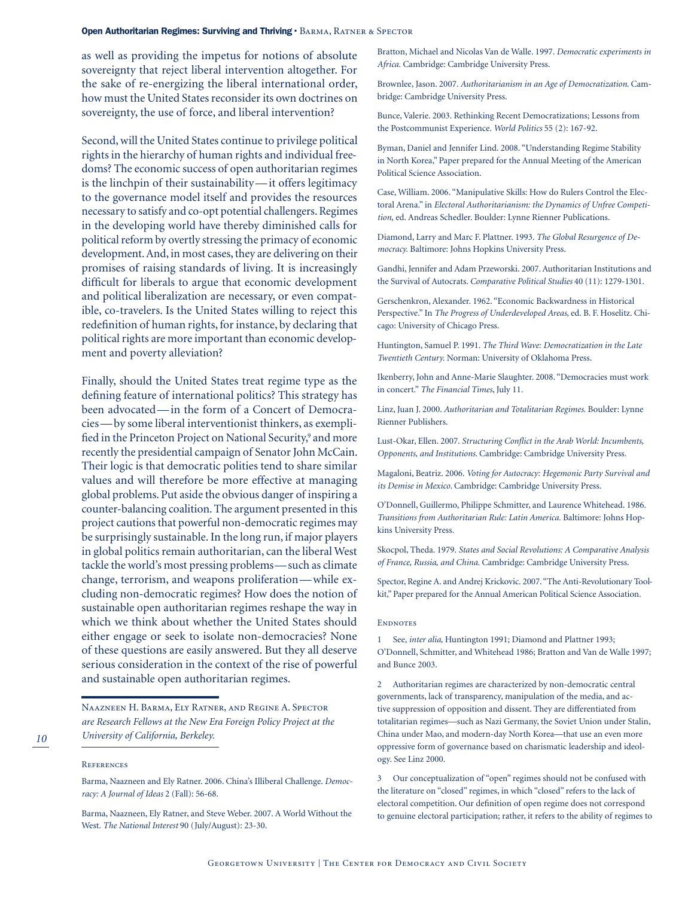## Open Authoritarian Regimes: Surviving and Thriving · BARMA, RATNER & SPECTOR

as well as providing the impetus for notions of absolute sovereignty that reject liberal intervention altogether. For the sake of re-energizing the liberal international order, how must the United States reconsider its own doctrines on sovereignty, the use of force, and liberal intervention?

Second, will the United States continue to privilege political rights in the hierarchy of human rights and individual freedoms? The economic success of open authoritarian regimes is the linchpin of their sustainability—it offers legitimacy to the governance model itself and provides the resources necessary to satisfy and co-opt potential challengers. Regimes in the developing world have thereby diminished calls for political reform by overtly stressing the primacy of economic development. And, in most cases, they are delivering on their promises of raising standards of living. It is increasingly difficult for liberals to argue that economic development and political liberalization are necessary, or even compatible, co-travelers. Is the United States willing to reject this redefinition of human rights, for instance, by declaring that political rights are more important than economic development and poverty alleviation?

Finally, should the United States treat regime type as the defining feature of international politics? This strategy has been advocated—in the form of a Concert of Democracies—by some liberal interventionist thinkers, as exemplified in the Princeton Project on National Security,<sup>9</sup> and more recently the presidential campaign of Senator John McCain. Their logic is that democratic polities tend to share similar values and will therefore be more effective at managing global problems. Put aside the obvious danger of inspiring a counter-balancing coalition. The argument presented in this project cautions that powerful non-democratic regimes may be surprisingly sustainable. In the long run, if major players in global politics remain authoritarian, can the liberal West tackle the world's most pressing problems—such as climate change, terrorism, and weapons proliferation—while excluding non-democratic regimes? How does the notion of sustainable open authoritarian regimes reshape the way in which we think about whether the United States should either engage or seek to isolate non-democracies? None of these questions are easily answered. But they all deserve serious consideration in the context of the rise of powerful and sustainable open authoritarian regimes.

Naazneen H. Barma, Ely Ratner, and Regine A. Spector *are Research Fellows at the New Era Foreign Policy Project at the University of California, Berkeley.*

## References

Barma, Naazneen and Ely Ratner. 2006. China's Illiberal Challenge. *Democracy: A Journal of Ideas* 2 (Fall): 56-68.

Barma, Naazneen, Ely Ratner, and Steve Weber. 2007. A World Without the West. *The National Interest* 90 (July/August): 23-30.

Bratton, Michael and Nicolas Van de Walle. 1997. *Democratic experiments in Africa.* Cambridge: Cambridge University Press.

Brownlee, Jason. 2007. *Authoritarianism in an Age of Democratization*. Cambridge: Cambridge University Press.

Bunce, Valerie. 2003. Rethinking Recent Democratizations; Lessons from the Postcommunist Experience. *World Politics* 55 (2): 167-92.

Byman, Daniel and Jennifer Lind. 2008. "Understanding Regime Stability in North Korea," Paper prepared for the Annual Meeting of the American Political Science Association.

Case, William. 2006. "Manipulative Skills: How do Rulers Control the Electoral Arena." in *Electoral Authoritarianism: the Dynamics of Unfree Competition,* ed. Andreas Schedler. Boulder: Lynne Rienner Publications.

Diamond, Larry and Marc F. Plattner. 1993. *The Global Resurgence of Democracy.* Baltimore: Johns Hopkins University Press.

Gandhi, Jennifer and Adam Przeworski. 2007.Authoritarian Institutions and the Survival of Autocrats. *Comparative Political Studies* 40 (11): 1279-1301.

Gerschenkron, Alexander. 1962. "Economic Backwardness in Historical Perspective." In *The Progress of Underdeveloped Areas*, ed. B. F. Hoselitz. Chicago: University of Chicago Press.

Huntington, Samuel P. 1991. *The Third Wave: Democratization in the Late Twentieth Century.* Norman: University of Oklahoma Press.

Ikenberry, John and Anne-Marie Slaughter. 2008. "Democracies must work in concert." *The Financial Times*, July 11.

Linz, Juan J. 2000. *Authoritarian and Totalitarian Regimes.* Boulder: Lynne Rienner Publishers.

Lust-Okar, Ellen. 2007. *Structuring Conflict in the Arab World: Incumbents, Opponents, and Institutions*. Cambridge: Cambridge University Press.

Magaloni, Beatriz. 2006. *Voting for Autocracy: Hegemonic Party Survival and its Demise in Mexico*. Cambridge: Cambridge University Press.

O'Donnell, Guillermo, Philippe Schmitter, and Laurence Whitehead. 1986. *Transitions from Authoritarian Rule: Latin America.* Baltimore: Johns Hopkins University Press.

Skocpol, Theda. 1979. *States and Social Revolutions: A Comparative Analysis of France, Russia, and China.* Cambridge: Cambridge University Press.

Spector, Regine A. and Andrej Krickovic. 2007. "The Anti-Revolutionary Toolkit," Paper prepared for the Annual American Political Science Association.

#### **ENDNOTES**

1 See, *inter alia,* Huntington 1991; Diamond and Plattner 1993; O'Donnell, Schmitter, and Whitehead 1986; Bratton and Van de Walle 1997; and Bunce 2003.

2 Authoritarian regimes are characterized by non-democratic central governments, lack of transparency, manipulation of the media, and active suppression of opposition and dissent. They are differentiated from totalitarian regimes—such as Nazi Germany, the Soviet Union under Stalin, China under Mao, and modern-day North Korea—that use an even more oppressive form of governance based on charismatic leadership and ideology. See Linz 2000.

3 Our conceptualization of "open" regimes should not be confused with the literature on "closed" regimes, in which "closed" refers to the lack of electoral competition. Our definition of open regime does not correspond to genuine electoral participation; rather, it refers to the ability of regimes to